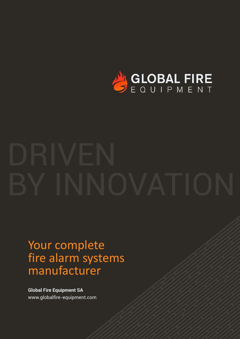

## Your complete fire alarm systems manufacturer

**Global Fire Equipment SA** [www.globalfire-equipment.com](https://www.globalfire-equipment.com)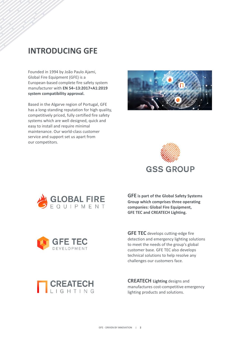## **INTRODUCING GFE**

Founded in 1994 by João Paulo Ajami, Global Fire Equipment (GFE) is a European-based complete fire safety system manufacturer with **EN 54–13:2017+A1:2019 system compatibility approval.** 

Based in the Algarve region of Portugal, GFE has a long-standing reputation for high quality, competitively priced, fully certified fire safety systems which are well designed, quick and easy to install and require minimal maintenance. Our world-class customer service and support set us apart from our competitors.







**GFE is part of the Global Safety Systems Group which comprises three operating companies: Global Fire Equipment, GFE TEC and CREATECH Lighting.** 





**GFE TEC** develops cutting-edge fire detection and emergency lighting solutions to meet the needs of the group's global customer base. GFE TEC also develops technical solutions to help resolve any challenges our customers face.

**CREATECH Lighting** designs and manufactures cost-competitive emergency lighting products and solutions.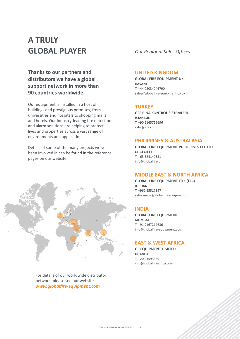## **A TRULY GLOBAL PLAYER** *Our Regional Sales Offices*

**Thanks to our partners and distributors we have a global support network in more than 90 countries worldwide.** 

Our equipment is installed in a host of buildings and prestigious premises, from universities and hospitals to shopping malls and hotels. Our industry-leading fire detection and alarm solutions are helping to protect lives and properties across a vast range of environments and applications.

Details of some of the many projects we've been involved in can be found in the reference pages on our website.



For details of our worldwide distributor network, please see our website *[www.globalfire-equipment.com](https://www.globalfire-equipment.com/our-distributors)*

#### **UNITED KINGDOM**

**GLOBAL FIRE EQUIPMENT UK HAVANT** T: +44 02034046790 sales@globalfire-equipment.co.uk

#### **TURKEY**

**GFE BINA KONTROL SISTEMLERI ISTANBUL** T: +90 2165759696 satis@gfe.com.tr

#### **PHILIPPINES & AUSTRALASIA**

**GLOBAL FIRE EQUIPMENT PHILIPPINES CO. LTD. CEBU CITTY** T: +63 324140531 info@globalfire.ph

#### **MIDDLE EAST & NORTH AFRICA**

**GLOBAL FIRE EQUIPMENT LTD. (FZC) JORDAN** T: +962 65517897 sales.mena@globalfireequipment.pt

#### **INDIA**

**GLOBAL FIRE EQUIPMENT MUMBAI** T: +91 9167217636 info@globalfire-equipment.com

#### **EAST & WEST AFRICA**

**GF EQUIPMENT LIMITED UGANDA** T: +20 23593659 info@globalfireafrica.com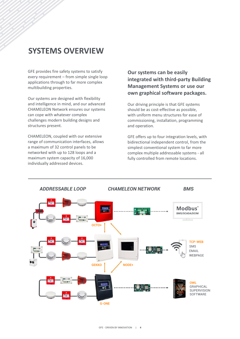## **SYSTEMS OVERVIEW**

GFE provides fire safety systems to satisfy every requirement – from simple single loop applications through to far more complex multibuilding properties.

Our systems are designed with flexibility and intelligence in mind, and our advanced CHAMELEON Network ensures our systems can cope with whatever complex challenges modern building designs and structures present.

CHAMELEON, coupled with our extensive range of communication interfaces, allows a maximum of 32 control panels to be networked with up to 128 loops and a maximum system capacity of 16,000 individually addressed devices.

#### **Our systems can be easily integrated with third-party Building Management Systems or use our own graphical software packages.**

Our driving principle is that GFE systems should be as cost-effective as possible, with uniform menu structures for ease of commissioning, installation, programming and operation.

GFE offers up to four integration levels, with bidirectional independent control, from the simplest conventional system to far more complex multiple addressable systems - all fully controlled from remote locations.

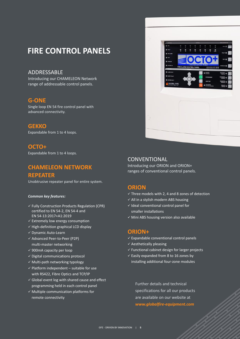## **FIRE CONTROL PANELS**

#### ADDRESSABLE

Introducing our CHAMELEON Network range of addressable control panels.

#### **G-ONE**

Single loop EN 54 fire control panel with advanced connectivity.

#### **GEKKO**

Expandable from 1 to 4 loops.

#### **OCTO+**

Expandable from 1 to 4 loops.

#### **CHAMELEON NETWORK REPEATER**

Unobtrusive repeater panel for entire system.

#### *Common key features:*

- $\checkmark$  Fully Construction Products Regulation (CPR) certified to EN 54-2, EN 54-4 and EN 54-13:2017+A1:2019
- $\checkmark$  Extremely low energy consumption
- $\checkmark$  High-definition graphical LCD display
- ü Dynamic Auto-Learn
- ü Advanced Peer-to-Peer (P2P) multi-master networking
- $\checkmark$  900mA capacity per loop
- $\checkmark$  Digital communications protocol
- $\checkmark$  Multi-path networking typology
- $\checkmark$  Platform independent suitable for use with RS422, Fibre Optics and TCP/IP
- $\checkmark$  Global event log with shared cause and effect programming held in each control panel
- $\checkmark$  Multiple communication platforms for remote connectivity



#### **CONVENTIONAL**

Introducing our ORION and ORION+ ranges of conventional control panels.

#### **ORION**

- $\checkmark$  Three models with 2, 4 and 8 zones of detection
- $\checkmark$  All in a stylish modern ABS housing
- $\checkmark$  Ideal conventional control panel for smaller installations
- $\checkmark$  Mini ABS housing version also available

#### **ORION+**

- $\checkmark$  Expandable conventional control panels
- $\checkmark$  Aesthetically pleasing
- $\checkmark$  Functional cabinet design for larger projects
- $\checkmark$  Easily expanded from 8 to 16 zones by installing additional four-zone modules

Further details and technical specifications for all our products are available on our website at *[www.globalfire-equipment.com](https://www.youtube.com/user/gfe94)*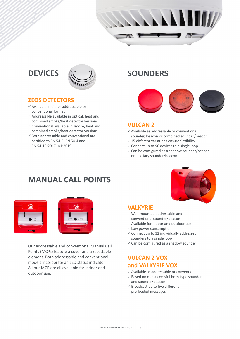

## **DEVICES**



#### **ZE OS DETECTORS**

- $\checkmark$  Available in either addressable or conventional format
- $\checkmark$  Addressable available in optical, heat and combined smoke/heat detector versions
- $\checkmark$  Conventional available in smoke, heat and combined smoke/heat detector versions
- $\checkmark$  Both addressable and conventional are certified to EN 54-2, EN 54-4 and EN 54-13:2017+A1:2019

## **SOUNDERS**



#### **VUL CAN 2**

- $\checkmark$  Available as addressable or conventional sounder, beacon or combined sounder/beacon
- $\checkmark$  15 different variations ensure flexibility
- $\checkmark$  Connect up to 96 devices to a single loop
- $\checkmark$  Can be configured as a shadow sounder/beacon or auxiliary sounder/beacon

### **MANUAL CALL POINTS**





Our addressable and conventional Manual Call Points (MCPs) feature a cover and a resettable element. Both addressable and conventional models incorporate an LED status indicator. All our MCP are all available for indoor and outdoor use.



#### **VALKYRIE**

- $\checkmark$  Wall-mounted addressable and conventional sounder/beacon
- $\checkmark$  Available for indoor and outdoor use
- $\checkmark$  Low power consumption
- $\checkmark$  Connect up to 32 individually addressed sounders to a single loop
- $\checkmark$  Can be configured as a shadow sounder

#### **VULCAN 2 VOX and VALKYRIE VOX**

- $\checkmark$  Available as addressable or conventional
- $\checkmark$  Based on our successful horn-type sounder and sounder/beacon
- $\checkmark$  Broadcast up to five different pre-loaded messages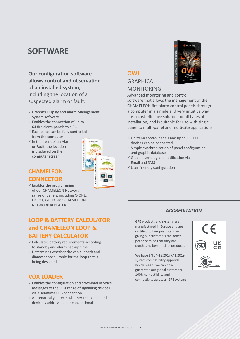## **SOFTWARE**

#### **Our configuration software allows control and observation of an installed system,** including the location of a suspected alarm or fault.

- $\checkmark$  Graphics Display and Alarm Management System software
- $\checkmark$  Enables the connection of up to 64 fire alarm panels to a PC
- $\checkmark$  Each panel can be fully controlled from the computer
- $\checkmark$  In the event of an Alarm or Fault, the location is displayed on the computer screen



#### **CHAMELEON CONNECTOR**

 $\checkmark$  Enables the programming of our CHAMELEON Network range of panels, including G-ONE, OCTO+, GEKKO and CHAMELEON NETWORK REPEATER

#### **LOOP & BATTERY CALCULATOR and CHAMELEON LOOP & BATTERY CALCULATOR**

- $\checkmark$  Calculates battery requirements according to standby and alarm backup time
- $\checkmark$  Determines whether the cable length and diameter are suitable for the loop that is being designed

#### **VOX LOADER**

- $\checkmark$  Enables the configuration and download of voice messages to the VOX range of signalling devices via a seamless USB connection
- $\checkmark$  Automatically detects whether the connected device is addressable or conventional

# **GRAPHICAL** MONITORING

**OWL**

Advanced monitoring and control software that allows the management of the CHAMELEON fire alarm control panels through a computer in a simple and very intuitive way. It is a cost-effective solution for all types of installation, and is suitable for use with single panel to multi-panel and multi-site applications.

- $\checkmark$  Up to 64 control panels and up to 16,000 devices can be connected
- $\checkmark$  Simple synchronisation of panel configuration and graphic database
- $\checkmark$  Global event log and notification via Email and SMS
- $\checkmark$  User-friendly configuration

#### *ACCREDITATION*

GFE products and systems are manufactured in Europe and are certified to European standards, giving our customers the added peace of mind that they are purchasing best-in-class products.

We have EN 54-13:2017+A1:2019 system compatibility approval which means we can now guarantee our global customers 100% compatibility and connectivity across all GFE systems.